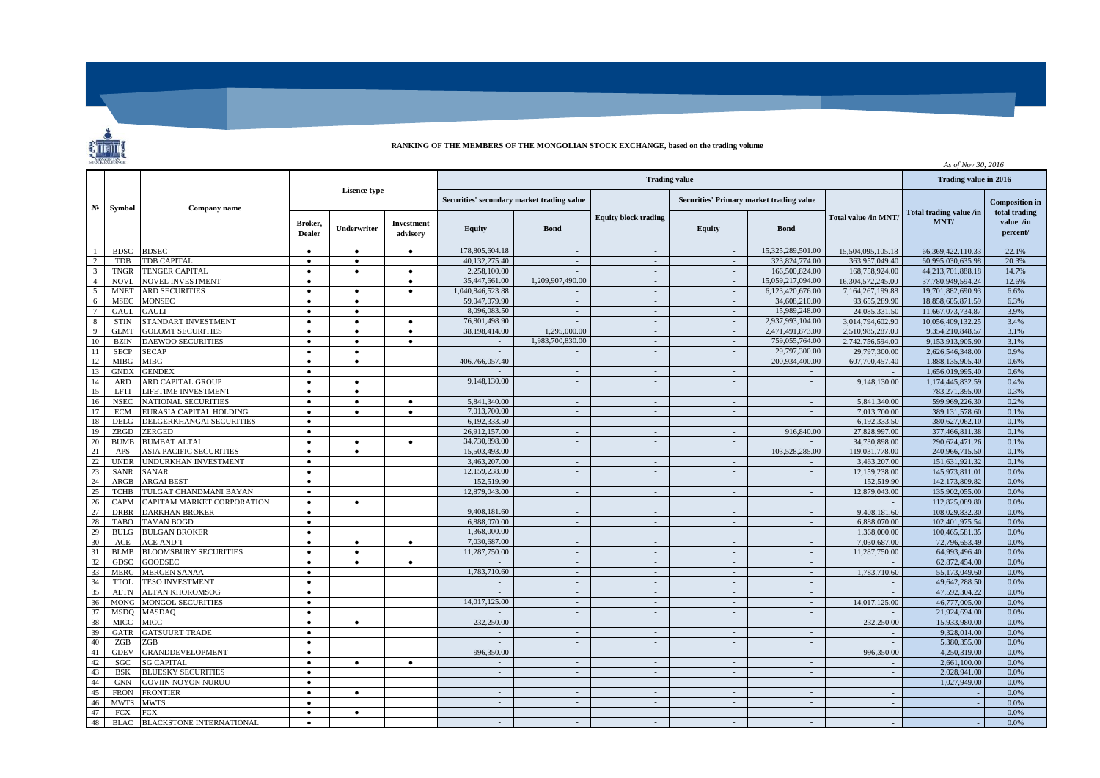

## **RANKING OF THE MEMBERS OF THE MONGOLIAN STOCK EXCHANGE, based on the trading volume**

| MONGOLIAN       |             |                                 |                     |           |                                            |                  |                          |                                          |                          |                             | As of Nov 30, 2016 |                       |                            |
|-----------------|-------------|---------------------------------|---------------------|-----------|--------------------------------------------|------------------|--------------------------|------------------------------------------|--------------------------|-----------------------------|--------------------|-----------------------|----------------------------|
|                 | Symbol      | Company name                    |                     |           |                                            |                  | Trading value in 2016    |                                          |                          |                             |                    |                       |                            |
| N <sub>2</sub>  |             |                                 | <b>Lisence type</b> |           | Securities' secondary market trading value |                  |                          | Securities' Primary market trading value |                          |                             |                    | <b>Composition</b> in |                            |
|                 |             |                                 |                     |           | Broker,<br><b>Dealer</b>                   | Underwriter      | Investment<br>advisory   | <b>Equity</b>                            | <b>Bond</b>              | <b>Equity block trading</b> | <b>Equity</b>      | <b>Bond</b>           | <b>Total value /in MNT</b> |
| $\overline{1}$  | <b>BDSC</b> | <b>BDSEC</b>                    | $\bullet$           | $\bullet$ | $\bullet$                                  | 178,805,604.18   | $\sim$                   | $\sim$                                   | $\sim$                   | 15.325.289.501.00           | 15,504,095,105.18  | 66.369.422.110.33     | 22.1%                      |
| 2               | <b>TDB</b>  | TDB CAPITAL                     | $\bullet$           | $\bullet$ |                                            | 40,132,275.40    | $\sim$                   | $\sim$                                   | $\sim$                   | 323,824,774.00              | 363,957,049.40     | 60,995,030,635.98     | 20.3%                      |
| $\overline{3}$  | <b>TNGR</b> | <b>TENGER CAPITAL</b>           | $\bullet$           | $\bullet$ | $\bullet$                                  | 2.258,100.00     |                          | $\overline{\phantom{a}}$                 |                          | 166,500,824.00              | 168,758,924.00     | 44,213,701,888.18     | 14.7%                      |
| $\overline{4}$  | NOVI.       | NOVEL INVESTMENT                | $\bullet$           |           | $\bullet$                                  | 35,447,661.00    | 1,209,907,490.00         | $\sim$                                   | $\sim$                   | 15.059.217.094.00           | 16.304.572.245.00  | 37.780.949.594.24     | 12.6%                      |
| 5               | <b>MNET</b> | <b>ARD SECURITIES</b>           | $\bullet$           | $\bullet$ | $\bullet$                                  | 1,040,846,523.88 | $\sim$                   | $\sim$                                   | $\sim$                   | 6,123,420,676.00            | 7,164,267,199.88   | 19,701,882,690.93     | 6.6%                       |
| 6               | <b>MSEC</b> | <b>MONSEC</b>                   | $\bullet$           | $\bullet$ |                                            | 59,047,079.90    | $\sim$                   | $\mathcal{L}$                            | $\sim$                   | 34,608,210.00               | 93,655,289.90      | 18.858.605.871.59     | 6.3%                       |
| $7\phantom{.0}$ | GAUL        | GAULI                           | $\bullet$           | $\bullet$ |                                            | 8,096,083.50     | $\sim$                   | $\sim$                                   | $\sim$                   | 15.989.248.00               | 24,085,331.50      | 11.667.073.734.87     | 3.9%                       |
| $\,8\,$         | <b>STIN</b> | STANDART INVESTMENT             |                     | $\bullet$ | $\bullet$                                  | 76,801,498.90    | $\sim$                   | $\sim$                                   | $\sim$                   | 2,937,993,104.00            | 3,014,794,602.90   | 10,056,409,132.25     | 3.4%                       |
| Q               | <b>GLMT</b> | <b>GOLOMT SECURITIES</b>        | $\bullet$           | $\bullet$ | $\bullet$                                  | 38,198,414.00    | 1,295,000.00             | $\sim$                                   | $\sim$                   | 2,471,491,873.00            | 2,510,985,287.00   | 9.354.210.848.57      | 3.1%                       |
| 10              | <b>BZIN</b> | <b>DAEWOO SECURITIES</b>        | $\bullet$           | $\bullet$ | $\bullet$                                  |                  | 1,983,700,830.00         | $\sim$                                   |                          | 759,055,764.00              | 2.742.756.594.00   | 9.153.913.905.90      | 3.1%                       |
| 11              | <b>SECP</b> | <b>SECAP</b>                    | $\bullet$           | $\bullet$ |                                            |                  | $\sim$                   | $\sim$                                   | $\sim$                   | 29,797,300.00               | 29,797,300.00      | 2.626.546.348.00      | 0.9%                       |
| 12              | <b>MIBG</b> | MIBG                            | $\bullet$           | $\bullet$ |                                            | 406,766,057.40   | $\sim$                   | $\sim$                                   | $\sim$                   | 200.934,400.00              | 607.700.457.40     | 1.888.135.905.40      | 0.6%                       |
| 13              | <b>GNDX</b> | <b>GENDEX</b>                   | $\bullet$           |           |                                            |                  | $\sim$                   | $\sim$                                   | $\sim$                   |                             |                    | 1.656.019.995.40      | 0.6%                       |
| 14              | <b>ARD</b>  | ARD CAPITAL GROUP               |                     | $\bullet$ |                                            | 9,148,130.00     | $\sim$                   | $\mathcal{L}_{\mathcal{A}}$              | $\sim$                   | $\sim$                      | 9,148,130.00       | 1.174.445.832.59      | 0.4%                       |
| 15              | <b>LFTI</b> | LIFETIME INVESTMENT             | $\bullet$           | $\bullet$ |                                            |                  | $\sim$                   | $\sim$                                   | $\sim$                   | $\sim$                      |                    | 783,271,395.00        | 0.3%                       |
| 16              | <b>NSEC</b> | <b>NATIONAL SECURITIES</b>      | $\bullet$           | $\bullet$ | $\bullet$                                  | 5,841,340.00     | $\sim$                   | $\sim$                                   | $\sim$                   | $\sim$                      | 5,841,340.00       | 599,969,226.30        | 0.2%                       |
| 17              | <b>ECM</b>  | EURASIA CAPITAL HOLDING         | $\bullet$           | $\bullet$ | $\bullet$                                  | 7,013,700.00     | $\overline{\phantom{a}}$ | $\mathcal{L}$                            |                          |                             | 7.013.700.00       | 389, 131, 578.60      | 0.1%                       |
| 18              | <b>DELG</b> | DELGERKHANGAI SECURITIES        | $\bullet$           |           |                                            | 6.192.333.50     | $\sim$                   | $\sim$                                   | $\sim$                   |                             | 6.192.333.50       | 380,627,062.10        | 0.1%                       |
| 19              | ZRGD        | ZERGED                          | $\bullet$           |           |                                            | 26.912.157.00    | $\sim$                   | $\sim$                                   | $\sim$                   | 916,840.00                  | 27,828,997.00      | 377,466,811.38        | 0.1%                       |
| 20              | <b>BUMB</b> | <b>BUMBAT ALTAI</b>             | $\bullet$           | $\bullet$ | $\bullet$                                  | 34,730,898.00    | $\sim$                   | $\mathcal{L}$                            |                          |                             | 34,730,898.00      | 290,624,471.26        | 0.1%                       |
| 21              | APS         | <b>ASIA PACIFIC SECURITIES</b>  | $\bullet$           | $\bullet$ |                                            | 15,503,493.00    | $\sim$                   | $\sim$                                   | $\sim$                   | 103.528.285.00              | 119.031.778.00     | 240,966,715.50        | 0.1%                       |
| 22              | <b>UNDR</b> | <b>JNDURKHAN INVESTMENT</b>     | $\bullet$           |           |                                            | 3.463,207.00     | $\sim$                   | $\sim$                                   | $\overline{\phantom{a}}$ |                             | 3,463,207.00       | 151,631,921.32        | 0.1%                       |
| 23              | <b>SANR</b> | SANAR                           | $\bullet$           |           |                                            | 12,159,238.00    | $\sim$                   | $\sim$                                   | $\sim$                   | $\sim$                      | 12,159,238.00      | 145,973,811.01        | 0.0%                       |
| 24              | ARGB        | <b>ARGAI BEST</b>               | $\bullet$           |           |                                            | 152,519.90       | $\sim$                   | $\sim$                                   | $\sim$                   | $\sim$                      | 152,519.90         | 142.173.809.82        | 0.0%                       |
| 25              | <b>TCHB</b> | TULGAT CHANDMANI BAYAN          | $\bullet$           |           |                                            | 12,879,043.00    | $\sim$                   | $\sim$                                   | $\sim$                   | $\sim$                      | 12,879,043.00      | 135,902,055.00        | 0.0%                       |
| 26              | CAPM        | CAPITAM MARKET CORPORATION      | $\bullet$           | $\bullet$ |                                            |                  | $\sim$                   | $\sim$                                   | $\sim$                   | $\sim$                      |                    | 112,825,089.80        | 0.0%                       |
| 27              | <b>DRBR</b> | <b>DARKHAN BROKER</b>           | $\bullet$           |           |                                            | 9,408,181.60     | $\sim$                   | $\sim$                                   | $\sim$                   | $\sim$                      | 9,408,181.60       | 108.029.832.30        | 0.0%                       |
| 28              | <b>TABO</b> | <b>TAVAN BOGD</b>               | $\bullet$           |           |                                            | 6.888,070.00     | $\sim$                   | $\sim$                                   | $\sim$                   |                             | 6,888,070.00       | 102,401,975.54        | 0.0%                       |
| 29              | <b>BULG</b> | <b>BULGAN BROKER</b>            | $\bullet$           |           |                                            | 1.368,000.00     | $\sim$                   | $\sim$                                   | $\sim$                   | $\sim$                      | 1.368,000.00       | 100.465.581.35        | 0.0%                       |
| 30              | ACE         | <b>ACE AND T</b>                | $\bullet$           | $\bullet$ | $\bullet$                                  | 7.030.687.00     | $\sim$                   | $\sim$                                   | $\sim$                   | $\sim$                      | 7,030,687.00       | 72,796,653.49         | 0.0%                       |
| 31              | <b>BLMB</b> | <b>BLOOMSBURY SECURITIES</b>    | $\bullet$           | $\bullet$ |                                            | 11,287,750.00    | $\sim$                   | $\sim$                                   |                          |                             | 11,287,750.00      | 64,993,496.40         | 0.0%                       |
| 32              | <b>GDSC</b> | <b>GOODSEC</b>                  | $\bullet$           | $\bullet$ | $\bullet$                                  |                  | $\sim$                   | $\sim$                                   | $\sim$                   | $\sim$                      |                    | 62,872,454.00         | 0.0%                       |
| 33              | <b>MERG</b> | <b>MERGEN SANAA</b>             | $\bullet$           |           |                                            | 1,783,710.60     | $\sim$                   | $\sim$                                   | $\sim$                   | $\sim$                      | 1,783,710.60       | 55,173,049.60         | 0.0%                       |
| 34              | <b>TTOL</b> | <b>TESO INVESTMENT</b>          | $\bullet$           |           |                                            |                  | $\sim$                   | $\sim$                                   | $\sim$                   |                             |                    | 49,642,288.50         | 0.0%                       |
| 35              | <b>ALTN</b> | <b>ALTAN KHOROMSOG</b>          | $\bullet$           |           |                                            | $\sim$           | $\sim$                   | $\sim$                                   | $\sim$                   | $\sim$                      |                    | 47.592.304.22         | 0.0%                       |
| 36              | <b>MONG</b> | <b>MONGOL SECURITIES</b>        | $\bullet$           |           |                                            | 14,017,125.00    | $\sim$                   | $\sim$                                   | $\sim$                   | $\sim$                      | 14,017,125,00      | 46,777,005.00         | 0.0%                       |
| 37              | <b>MSDO</b> | <b>MASDAO</b>                   | $\bullet$           |           |                                            |                  | $\sim$                   | $\sim$                                   | $\sim$                   | $\sim$                      |                    | 21,924,694.00         | 0.0%                       |
| 38              | MICC        | MICC                            | $\bullet$           | $\bullet$ |                                            | 232,250,00       | $\sim$                   | $\sim$                                   | $\sim$                   | $\sim$                      | 232,250,00         | 15,933,980.00         | 0.0%                       |
| 39              | <b>GATR</b> | <b>GATSUURT TRADE</b>           | $\bullet$           |           |                                            |                  | $\sim$                   | $\mathbb{Z}^2$                           | $\sim$                   | $\sim$                      |                    | 9.328.014.00          | 0.0%                       |
| 40              | ZGB         | ZGB                             | $\bullet$           |           |                                            | $\sim$           | $\sim$                   | $\sim$                                   | $\sim$                   | $\sim$                      |                    | 5.380,355.00          | 0.0%                       |
| 41              | <b>GDEV</b> | <b>GRANDDEVELOPMENT</b>         | $\bullet$           |           |                                            | 996,350.00       | $\sim$                   | $\sim$                                   | $\sim$                   | $\sim$                      | 996,350.00         | 4.250.319.00          | 0.0%                       |
| 42              | SGC         | <b>SG CAPITAL</b>               | $\bullet$           | $\bullet$ | $\bullet$                                  | $\sim$           | $\sim$                   | $\overline{\phantom{a}}$                 | $\sim$                   | $\sim$                      |                    | 2,661,100.00          | 0.0%                       |
| 43              | <b>BSK</b>  | <b>BLUESKY SECURITIES</b>       | $\bullet$           |           |                                            | $\sim$           | $\sim$                   | $\sim$                                   | $\sim$                   | $\sim$                      | $\sim$             | 2,028,941.00          | 0.0%                       |
| 44              | <b>GNN</b>  | <b>GOVIIN NOYON NURUU</b>       | ٠                   |           |                                            | $\sim$           | $\sim$                   | $\sim$                                   | $\sim$                   | $\sim$                      | $\sim$             | 1,027,949.00          | 0.0%                       |
| 45              | <b>FRON</b> | <b>FRONTIER</b>                 |                     |           |                                            | $\sim$           | $\sim$                   | $\mathcal{L}$                            |                          |                             |                    |                       | 0.0%                       |
| 46              | <b>MWTS</b> | <b>MWTS</b>                     | $\bullet$           |           |                                            | $\sim$           | $\sim$                   | $\sim$                                   | $\sim$                   | $\sim$                      | $\sim$             |                       | 0.0%                       |
| 47              | <b>FCX</b>  | FCX                             | $\bullet$           | $\bullet$ |                                            | $\sim$           | $\sim$                   | $\sim$                                   | $\sim$                   | $\sim$                      | $\sim$             |                       | 0.0%                       |
| 48              | <b>BLAC</b> | <b>BLACKSTONE INTERNATIONAL</b> |                     |           |                                            | $\sim$           | $\sim$                   | $\overline{\phantom{a}}$                 |                          |                             |                    |                       | 0.0%                       |